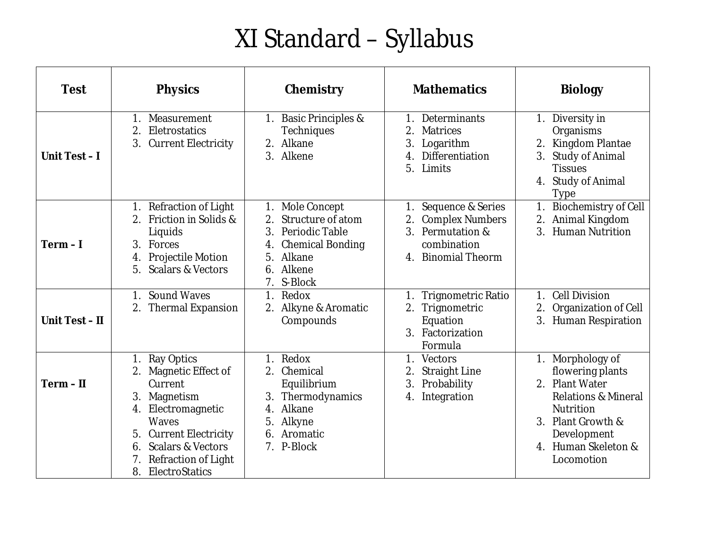## XI Standard – Syllabus

| <b>Test</b>    | <b>Physics</b>                                                                                                                                                                                                                        | Chemistry                                                                                                                                         | <b>Mathematics</b>                                                                                                              | <b>Biology</b>                                                                                                                                                                        |
|----------------|---------------------------------------------------------------------------------------------------------------------------------------------------------------------------------------------------------------------------------------|---------------------------------------------------------------------------------------------------------------------------------------------------|---------------------------------------------------------------------------------------------------------------------------------|---------------------------------------------------------------------------------------------------------------------------------------------------------------------------------------|
| Unit Test-I    | Measurement<br>1.<br>2.<br>Eletrostatics<br>3.<br><b>Current Electricity</b>                                                                                                                                                          | <b>Basic Principles &amp;</b><br>1.<br>Techniques<br>Alkane<br>2.<br>3. Alkene                                                                    | Determinants<br>1.<br>2.<br><b>Matrices</b><br>3.<br>Logarithm<br>Differentiation<br>$\overline{4}$<br>5.<br>Limits             | 1. Diversity in<br>Organisms<br>Kingdom Plantae<br>3.<br><b>Study of Animal</b><br><b>Tissues</b><br>4. Study of Animal<br>Type                                                       |
| $Term - I$     | Refraction of Light<br>1.<br>Friction in Solids &<br>2.<br>Liquids<br>3.<br>Forces<br><b>Projectile Motion</b><br>4.<br>5.<br><b>Scalars &amp; Vectors</b>                                                                            | Mole Concept<br>1.<br>Structure of atom<br>2.<br>3.<br>Periodic Table<br><b>Chemical Bonding</b><br>4.<br>Alkane<br>5.<br>Alkene<br>6.<br>S-Block | Sequence & Series<br>1.<br><b>Complex Numbers</b><br>2.<br>3 <sub>1</sub><br>Permutation &<br>combination<br>4. Binomial Theorm | <b>Biochemistry of Cell</b><br>Animal Kingdom<br>2.<br>3.<br><b>Human Nutrition</b>                                                                                                   |
| Unit Test - II | <b>Sound Waves</b><br>1.<br><b>Thermal Expansion</b><br>2.                                                                                                                                                                            | 1.<br>Redox<br>Alkyne & Aromatic<br>2.<br>Compounds                                                                                               | <b>Trignometric Ratio</b><br>1.<br>Trignometric<br>2.<br>Equation<br>Factorization<br>3 <sub>1</sub><br>Formula                 | <b>Cell Division</b><br>$\mathbf{1}$ .<br>$\overline{2}$ .<br>Organization of Cell<br>3.<br><b>Human Respiration</b>                                                                  |
| $Term - II$    | Ray Optics<br>1.<br>Magnetic Effect of<br>2.<br>Current<br>Magnetism<br>3.<br>Electromagnetic<br>4.<br>Waves<br><b>Current Electricity</b><br>5.<br><b>Scalars &amp; Vectors</b><br>6.<br>Refraction of Light<br>ElectroStatics<br>8. | Redox<br>$\mathbf{1}$ .<br>Chemical<br>2.<br>Equilibrium<br>Thermodynamics<br>3.<br>Alkane<br>4.<br>Alkyne<br>5.<br>Aromatic<br>6.<br>7. P-Block  | 1 <sub>1</sub><br>Vectors<br><b>Straight Line</b><br>3.<br>Probability<br>Integration<br>4.                                     | Morphology of<br>flowering plants<br>2. Plant Water<br><b>Relations &amp; Mineral</b><br><b>Nutrition</b><br>Plant Growth &<br>3.<br>Development<br>4. Human Skeleton &<br>Locomotion |